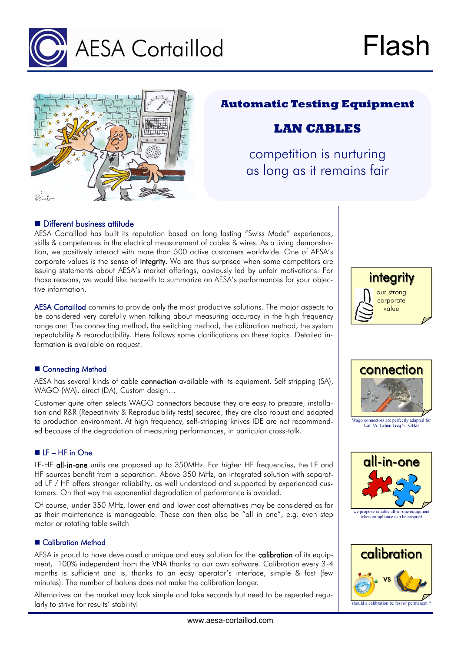



## **Automatic Testing Equipment**

# **LAN CABLES**

competition is nurturing as long as it remains fair

## **Different business attitude**

AESA Cortaillod has built its reputation based on long lasting "Swiss Made" experiences, skills & competences in the electrical measurement of cables & wires. As a living demonstration, we positively interact with more than 500 active customers worldwide. One of AESA's corporate values is the sense of integrity. We are thus surprised when some competitors are issuing statements about AESA's market offerings, obviously led by unfair motivations. For those reasons, we would like herewith to summarize on AESA's performances for your objective information.

AESA Cortaillod commits to provide only the most productive solutions. The major aspects to be considered very carefully when talking about measuring accuracy in the high frequency range are: The connecting method, the switching method, the calibration method, the system repeatability & reproducibility. Here follows some clarifications on these topics. Detailed information is available on request.

## ■ Connecting Method

AESA has several kinds of cable connection available with its equipment. Self stripping (SA), WAGO (WA), direct (DA), Custom design…

Customer quite often selects WAGO connectors because they are easy to prepare, installation and R&R (Repeatitivity & Reproducibility tests) secured, they are also robust and adapted to production environment. At high frequency, self-stripping knives IDE are not recommended because of the degradation of measuring performances, in particular cross-talk.

## ■ LF – HF in One

LF-HF all-in-one units are proposed up to 350MHz. For higher HF frequencies, the LF and HF sources benefit from a separation. Above 350 MHz, an integrated solution with separated LF / HF offers stronger reliability, as well understood and supported by experienced customers. On that way the exponential degradation of performance is avoided.

Of course, under 350 MHz, lower end and lower cost alternatives may be considered as far as their maintenance is manageable. Those can then also be "all in one", e.g. even step motor or rotating table switch

#### ■ Calibration Method

AESA is proud to have developed a unique and easy solution for the calibration of its equipment, 100% independent from the VNA thanks to our own software. Calibration every 3-4 months is sufficient and is, thanks to an easy operator's interface, simple & fast (few minutes). The number of baluns does not make the calibration longer.

Alternatives on the market may look simple and take seconds but need to be repeated regularly to strive for results' stability!





Wago connectors are perfectly adapted for Cat 7A (when f req >1 GHz)